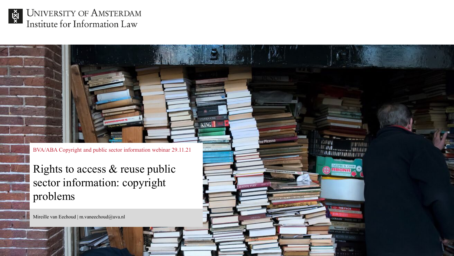

UNIVERSITY OF AMSTERDAM Institute for Information Law

BVA/ABA Copyright and public sector information webinar 29.11.21

**STEPHEN KING** KING

a Picasso

HW I

**TAIL THEFACE** 

Rights to access & reuse public sector information: copyright problems

Mireille van Eechoud | m.vaneechoud@uva.nl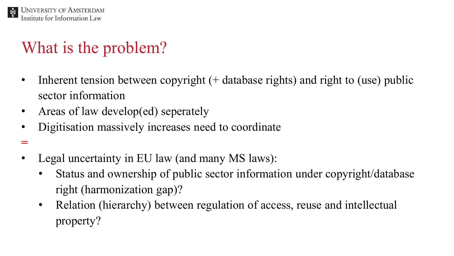

**=**

# What is the problem?

- Inherent tension between copyright (+ database rights) and right to (use) public sector information
- Areas of law develop(ed) seperately
- Digitisation massively increases need to coordinate
- Legal uncertainty in EU law (and many MS laws):
	- Status and ownership of public sector information under copyright/database right (harmonization gap)?
	- Relation (hierarchy) between regulation of access, reuse and intellectual property?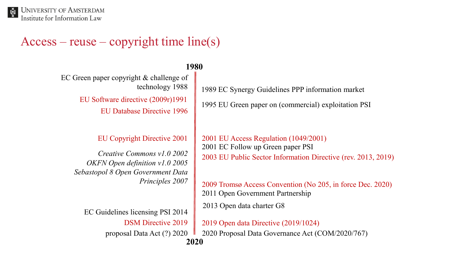#### $Access - reuse - copyright time line(s)$

#### **1980**

EU Software directive (2009r)1991 EU Database Directive 1996 EC Green paper copyright & challenge of technology 1988

EU Copyright Directive 2001

*OKFN Open definition v1.0 2005 Sebastopol 8 Open Government Data Principles 2007 Creative Commons v1.0 2002*

EC Guidelines licensing PSI 2014 DSM Directive 2019 proposal Data Act (?) 2020 1989 EC Synergy Guidelines PPP information market

1995 EU Green paper on (commercial) exploitation PSI

2001 EU Access Regulation (1049/2001) 2003 EU Public Sector Information Directive (rev. 2013, 2019) 2001 EC Follow up Green paper PSI

2009 Tromsø Access Convention (No 205, in force Dec. 2020) 2011 Open Government Partnership

2013 Open data charter G8

**2020** 2019 Open data Directive (2019/1024) 2020 Proposal Data Governance Act (COM/2020/767)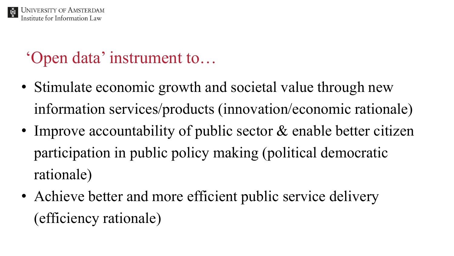

## 'Open data' instrument to…

- Stimulate economic growth and societal value through new information services/products (innovation/economic rationale)
- Improve accountability of public sector & enable better citizen participation in public policy making (political democratic rationale)
- Achieve better and more efficient public service delivery (efficiency rationale)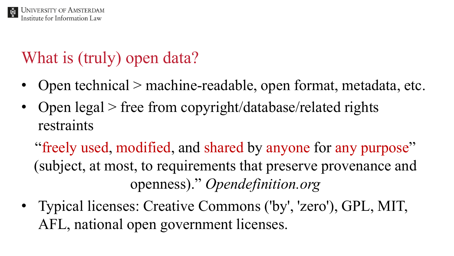# What is (truly) open data?

- Open technical > machine-readable, open format, metadata, etc.
- Open legal > free from copyright/database/related rights restraints

"freely used, modified, and shared by anyone for any purpose" (subject, at most, to requirements that preserve provenance and openness)." *Opendefinition.org*

• Typical licenses: Creative Commons ('by', 'zero'), GPL, MIT, AFL, national open government licenses.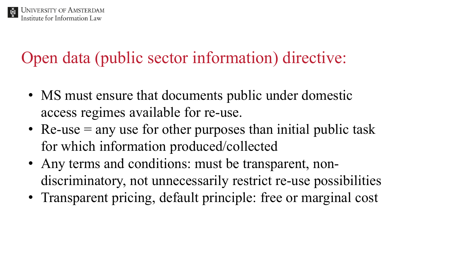

Open data (public sector information) directive:

- MS must ensure that documents public under domestic access regimes available for re-use.
- Re-use  $=$  any use for other purposes than initial public task for which information produced/collected
- Any terms and conditions: must be transparent, nondiscriminatory, not unnecessarily restrict re-use possibilities
- Transparent pricing, default principle: free or marginal cost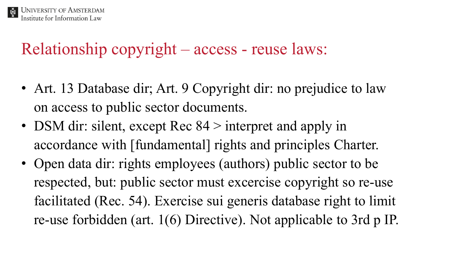

## Relationship copyright – access - reuse laws:

- Art. 13 Database dir; Art. 9 Copyright dir: no prejudice to law on access to public sector documents.
- DSM dir: silent, except Rec 84 > interpret and apply in accordance with [fundamental] rights and principles Charter.
- Open data dir: rights employees (authors) public sector to be respected, but: public sector must excercise copyright so re-use facilitated (Rec. 54). Exercise sui generis database right to limit re-use forbidden (art. 1(6) Directive). Not applicable to 3rd p IP.